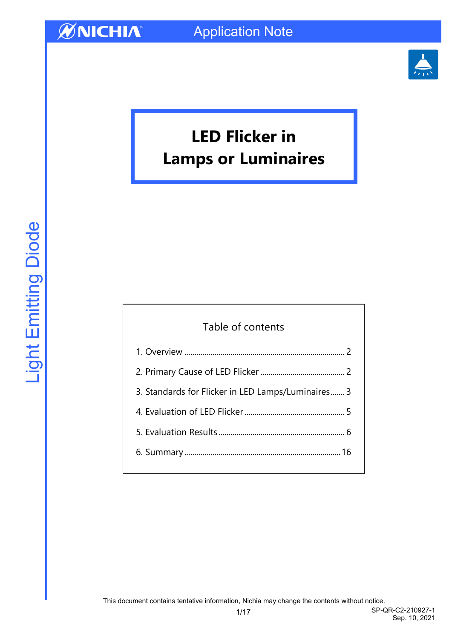

# **LED Flicker in Lamps or Luminaires**

#### Table of contents

| 3. Standards for Flicker in LED Lamps/Luminaires 3 |
|----------------------------------------------------|
|                                                    |
|                                                    |
|                                                    |
|                                                    |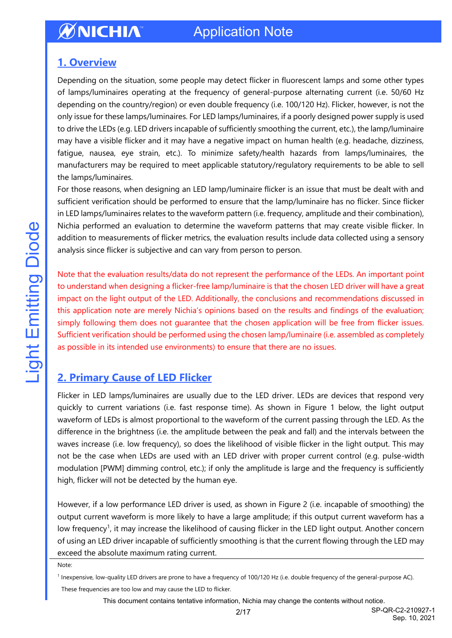#### <span id="page-1-0"></span>**1. Overview**

Depending on the situation, some people may detect flicker in fluorescent lamps and some other types of lamps/luminaires operating at the frequency of general-purpose alternating current (i.e. 50/60 Hz depending on the country/region) or even double frequency (i.e. 100/120 Hz). Flicker, however, is not the only issue for these lamps/luminaires. For LED lamps/luminaires, if a poorly designed power supply is used to drive the LEDs (e.g. LED drivers incapable of sufficiently smoothing the current, etc.), the lamp/luminaire may have a visible flicker and it may have a negative impact on human health (e.g. headache, dizziness, fatigue, nausea, eye strain, etc.). To minimize safety/health hazards from lamps/luminaires, the manufacturers may be required to meet applicable statutory/regulatory requirements to be able to sell the lamps/luminaires.

For those reasons, when designing an LED lamp/luminaire flicker is an issue that must be dealt with and sufficient verification should be performed to ensure that the lamp/luminaire has no flicker. Since flicker in LED lamps/luminaires relates to the waveform pattern (i.e. frequency, amplitude and their combination), Nichia performed an evaluation to determine the waveform patterns that may create visible flicker. In addition to measurements of flicker metrics, the evaluation results include data collected using a sensory analysis since flicker is subjective and can vary from person to person.

Note that the evaluation results/data do not represent the performance of the LEDs. An important point to understand when designing a flicker-free lamp/luminaire is that the chosen LED driver will have a great impact on the light output of the LED. Additionally, the conclusions and recommendations discussed in this application note are merely Nichia's opinions based on the results and findings of the evaluation; simply following them does not guarantee that the chosen application will be free from flicker issues. Sufficient verification should be performed using the chosen lamp/luminaire (i.e. assembled as completely as possible in its intended use environments) to ensure that there are no issues.

### <span id="page-1-1"></span>**2. Primary Cause of LED Flicker**

Flicker in LED lamps/luminaires are usually due to the LED driver. LEDs are devices that respond very quickly to current variations (i.e. fast response time). As shown in Figure 1 below, the light output waveform of LEDs is almost proportional to the waveform of the current passing through the LED. As the difference in the brightness (i.e. the amplitude between the peak and fall) and the intervals between the waves increase (i.e. low frequency), so does the likelihood of visible flicker in the light output. This may not be the case when LEDs are used with an LED driver with proper current control (e.g. pulse-width modulation [PWM] dimming control, etc.); if only the amplitude is large and the frequency is sufficiently high, flicker will not be detected by the human eye.

However, if a low performance LED driver is used, as shown in Figure 2 (i.e. incapable of smoothing) the output current waveform is more likely to have a large amplitude; if this output current waveform has a low frequency<sup>1</sup>, it may increase the likelihood of causing flicker in the LED light output. Another concern of using an LED driver incapable of sufficiently smoothing is that the current flowing through the LED may exceed the absolute maximum rating current.

Note:

<sup>1</sup> Inexpensive, low-quality LED drivers are prone to have a frequency of 100/120 Hz (i.e. double frequency of the general-purpose AC). These frequencies are too low and may cause the LED to flicker.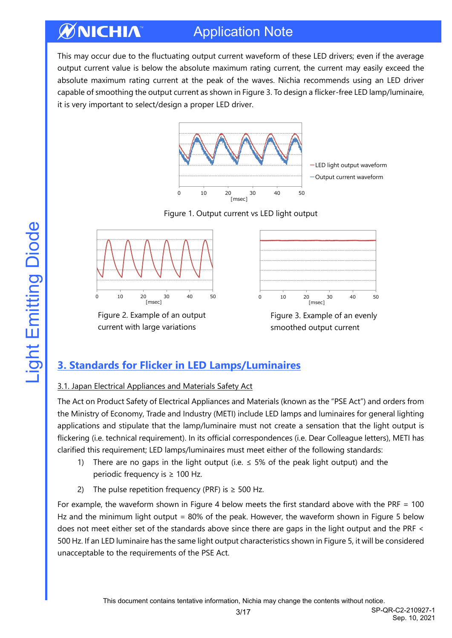#### ØNICHIA Application Note

This may occur due to the fluctuating output current waveform of these LED drivers; even if the average output current value is below the absolute maximum rating current, the current may easily exceed the absolute maximum rating current at the peak of the waves. Nichia recommends using an LED driver capable of smoothing the output current as shown in Figure 3. To design a flicker-free LED lamp/luminaire, it is very important to select/design a proper LED driver.



-LED light output waveform -Output current waveform

#### Figure 1. Output current vs LED light output



Figure 2. Example of an output current with large variations



Figure 3. Example of an evenly smoothed output current

### <span id="page-2-0"></span>**3. Standards for Flicker in LED Lamps/Luminaires**

#### 3.1. Japan Electrical Appliances and Materials Safety Act

The Act on Product Safety of Electrical Appliances and Materials (known as the "PSE Act") and orders from the Ministry of Economy, Trade and Industry (METI) include LED lamps and luminaires for general lighting applications and stipulate that the lamp/luminaire must not create a sensation that the light output is flickering (i.e. technical requirement). In its official correspondences (i.e. Dear Colleague letters), METI has clarified this requirement; LED lamps/luminaires must meet either of the following standards:

- 1) There are no gaps in the light output (i.e.  $\leq$  5% of the peak light output) and the periodic frequency is ≥ 100 Hz.
- 2) The pulse repetition frequency (PRF) is  $\geq$  500 Hz.

For example, the waveform shown in Figure 4 below meets the first standard above with the PRF = 100 Hz and the minimum light output = 80% of the peak. However, the waveform shown in Figure 5 below does not meet either set of the standards above since there are gaps in the light output and the PRF < 500 Hz. If an LED luminaire has the same light output characteristics shown in Figure 5, it will be considered unacceptable to the requirements of the PSE Act.

3/17 SP-QR-C2-210927-1 Sep. 10, 2021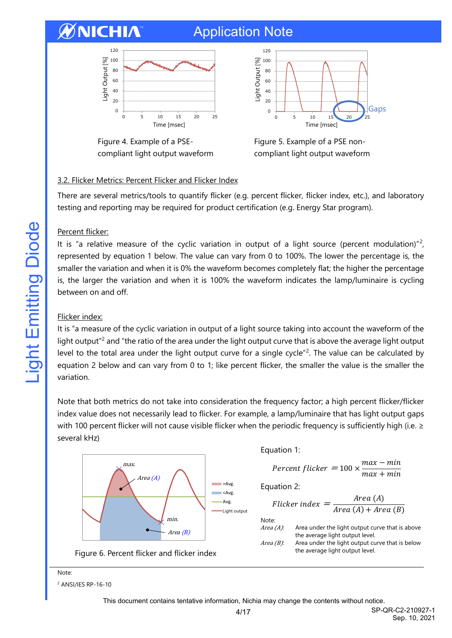## Application Note





Figure 4. Example of a PSEcompliant light output waveform

Figure 5. Example of a PSE noncompliant light output waveform

#### 3.2. Flicker Metrics: Percent Flicker and Flicker Index

There are several metrics/tools to quantify flicker (e.g. percent flicker, flicker index, etc.), and laboratory testing and reporting may be required for product certification (e.g. Energy Star program).

#### Percent flicker:

It is "a relative measure of the cyclic variation in output of a light source (percent modulation)"<sup>2</sup>, represented by equation 1 below. The value can vary from 0 to 100%. The lower the percentage is, the smaller the variation and when it is 0% the waveform becomes completely flat; the higher the percentage is, the larger the variation and when it is 100% the waveform indicates the lamp/luminaire is cycling between on and off.

#### Flicker index:

It is "a measure of the cyclic variation in output of a light source taking into account the waveform of the light output<sup>"2</sup> and "the ratio of the area under the light output curve that is above the average light output level to the total area under the light output curve for a single cycle"<sup>2</sup>. The value can be calculated by equation 2 below and can vary from 0 to 1; like percent flicker, the smaller the value is the smaller the variation.

Note that both metrics do not take into consideration the frequency factor; a high percent flicker/flicker index value does not necessarily lead to flicker. For example, a lamp/luminaire that has light output gaps with 100 percent flicker will not cause visible flicker when the periodic frequency is sufficiently high (i.e. ≥ several kHz)



#### Note:

<sup>2</sup> ANSI/IES RP-16-10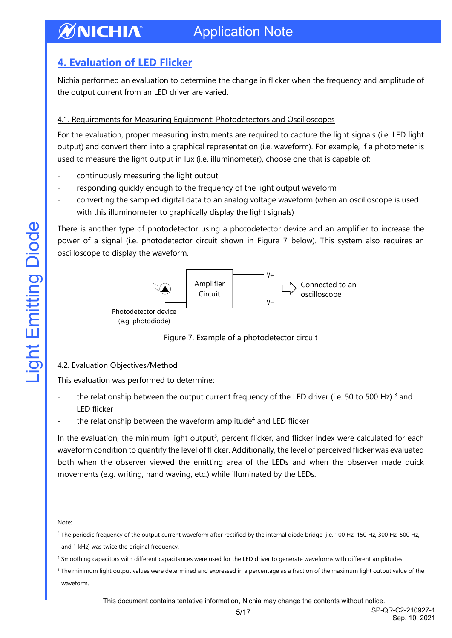### <span id="page-4-0"></span>**4. Evaluation of LED Flicker**

Nichia performed an evaluation to determine the change in flicker when the frequency and amplitude of the output current from an LED driver are varied.

#### 4.1. Requirements for Measuring Equipment: Photodetectors and Oscilloscopes

For the evaluation, proper measuring instruments are required to capture the light signals (i.e. LED light output) and convert them into a graphical representation (i.e. waveform). For example, if a photometer is used to measure the light output in lux (i.e. illuminometer), choose one that is capable of:

- continuously measuring the light output
- responding quickly enough to the frequency of the light output waveform
- converting the sampled digital data to an analog voltage waveform (when an oscilloscope is used with this illuminometer to graphically display the light signals)

There is another type of photodetector using a photodetector device and an amplifier to increase the power of a signal (i.e. photodetector circuit shown in Figure 7 below). This system also requires an oscilloscope to display the waveform.



Figure 7. Example of a photodetector circuit

#### 4.2. Evaluation Objectives/Method

This evaluation was performed to determine:

- the relationship between the output current frequency of the LED driver (i.e. 50 to 500 Hz)<sup>3</sup> and LED flicker
- the relationship between the waveform amplitude<sup>4</sup> and LED flicker

In the evaluation, the minimum light output<sup>5</sup>, percent flicker, and flicker index were calculated for each waveform condition to quantify the level of flicker. Additionally, the level of perceived flicker was evaluated both when the observer viewed the emitting area of the LEDs and when the observer made quick movements (e.g. writing, hand waving, etc.) while illuminated by the LEDs.

#### Note:

<sup>&</sup>lt;sup>3</sup> The periodic frequency of the output current waveform after rectified by the internal diode bridge (i.e. 100 Hz, 150 Hz, 300 Hz, 500 Hz, and 1 kHz) was twice the original frequency.

<sup>4</sup> Smoothing capacitors with different capacitances were used for the LED driver to generate waveforms with different amplitudes.

<sup>&</sup>lt;sup>5</sup> The minimum light output values were determined and expressed in a percentage as a fraction of the maximum light output value of the waveform.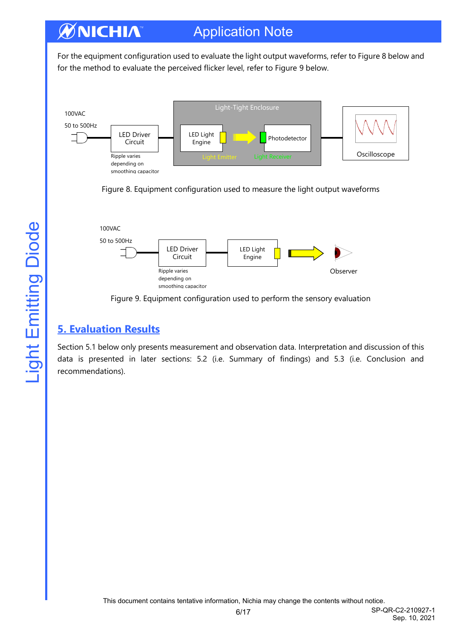### Application Note

For the equipment configuration used to evaluate the light output waveforms, refer to Figure 8 below and for the method to evaluate the perceived flicker level, refer to Figure 9 below.







Figure 9. Equipment configuration used to perform the sensory evaluation

### <span id="page-5-0"></span>**5. Evaluation Results**

Section 5.1 below only presents measurement and observation data. Interpretation and discussion of this data is presented in later sections: 5.2 (i.e. Summary of findings) and 5.3 (i.e. Conclusion and recommendations).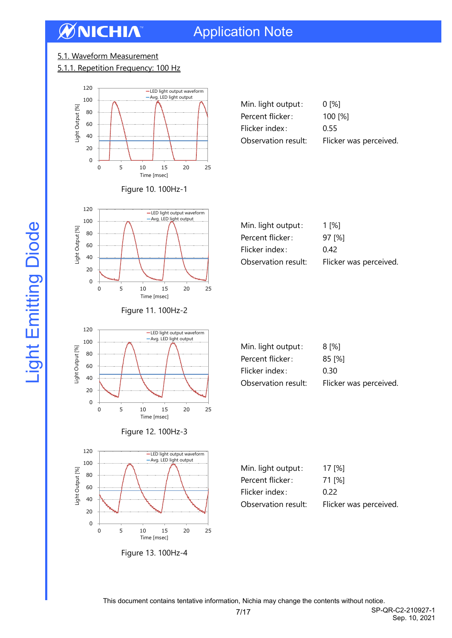## Application Note

#### 5.1. Waveform Measurement

#### 5.1.1. Repetition Frequency: 100 Hz





Min. light output: 1 [%] Percent flicker: 97 [%] Flicker index: 0.42



|  | Figure 11. 100Hz-2 |
|--|--------------------|
|  |                    |







| Min. light output:  | 8 [%]                  |
|---------------------|------------------------|
| Percent flicker:    | 85 [%]                 |
| Flicker index:      | 0.30                   |
| Observation result: | Flicker was perceived. |

Observation result: Flicker was perceived.

| Min. light output:  | 17 $[%]$               |
|---------------------|------------------------|
| Percent flicker:    | 71 [%]                 |
| Flicker index:      | O 22                   |
| Observation result: | Flicker was perceived. |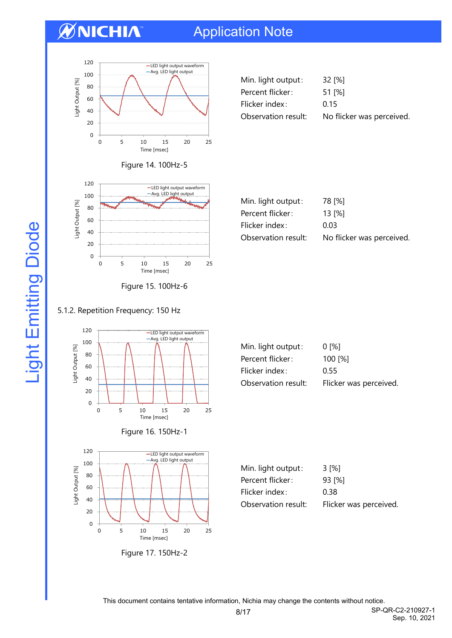## Application Note



| 32 [%]                    |
|---------------------------|
| 51 [%]                    |
| 0.15                      |
| No flicker was perceived. |
|                           |



Figure 14. 100Hz-5

| 78 [%]                    |
|---------------------------|
| 13 [%]                    |
| 0.03                      |
| No flicker was perceived. |
|                           |

#### 5.1.2. Repetition Frequency: 150 Hz



| Min. light output:  | $0^{96}$               |
|---------------------|------------------------|
| Percent flicker:    | 100 [%]                |
| Flicker index:      | 0.55                   |
| Observation result: | Flicker was perceived. |

| Min. light output:  | 3 [%]                  |
|---------------------|------------------------|
| Percent flicker:    | 93 [%]                 |
| Flicker index:      | 0.38                   |
| Observation result: | Flicker was perceived. |



0 5 10 15 20 25

[msec] Time [msec]

This document contains tentative information, Nichia may change the contents without notice.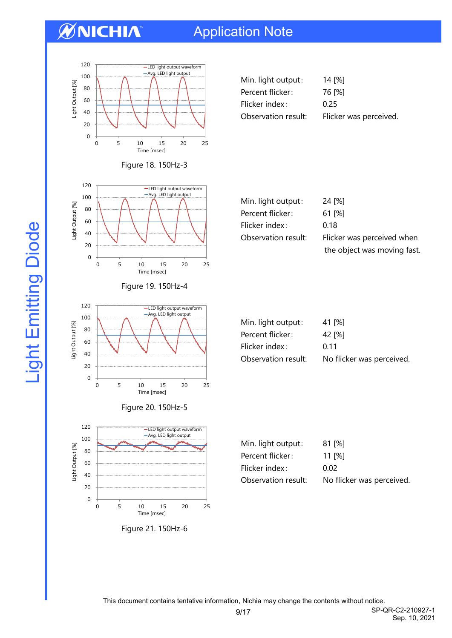## Application Note



| Min. light output:  | 14 [%]                 |
|---------------------|------------------------|
| Percent flicker:    | 76 [%]                 |
| Flicker index:      | 0.25                   |
| Observation result: | Flicker was perceived. |



Figure 18. 150Hz-3

Figure 19. 150Hz-4

-Avg. LED light output

-LED light output waveform

0 5 10 15 20 25

[msec] Time [msec]

| Min. light output:  | 24 [%]                      |
|---------------------|-----------------------------|
| Percent flicker:    | 61 I%I                      |
| Flicker index:      | 0.18                        |
| Observation result: | Flicker was perceived when  |
|                     | the object was moving fast. |

| Min. light output:  | 41 [%]                    |
|---------------------|---------------------------|
| Percent flicker:    | 42 [%]                    |
| Flicker index:      | 0.11                      |
| Observation result: | No flicker was perceived. |
|                     |                           |



Light Output [%]

Light Output [%]

| Min. light output: | 81 [%] |
|--------------------|--------|
| Percent flicker:   | 11[%]  |
| Flicker index:     | 0.02   |

Observation result: No flicker was perceived.



This document contains tentative information, Nichia may change the contents without notice.

9/17 SP-QR-C2-210927-1 Sep. 10, 2021

Light Emitting Diode Light Emitting Diode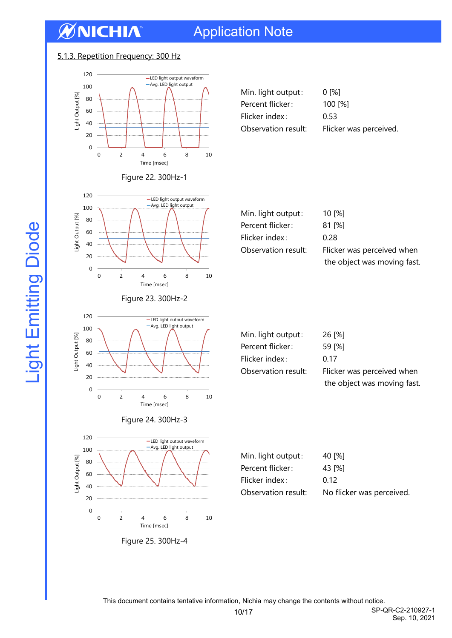## Application Note

#### 5.1.3. Repetition Frequency: 300 Hz



| Min. light output:  | 0 [%]                  |
|---------------------|------------------------|
| Percent flicker:    | 100 [%]                |
| Flicker index:      | 0.53                   |
| Observation result: | Flicker was perceived. |
|                     |                        |



Figure 23. 300Hz-2

Figure 24. 300Hz-3

-Avg. LED light output

-LED light output waveform

[msec] Time [msec]

Light Output [%]

Light Output [%]

Light Output [%]

Light Output [%]

Figure 25. 300Hz-4

0 2 4 6 8 10

[msec] Time [msec]

Figure 22. 300Hz-1

| Min. light output:  | 10 [%]                      |
|---------------------|-----------------------------|
| Percent flicker:    | $81$ [%]                    |
| Flicker index:      | 0.28                        |
| Observation result: | Flicker was perceived when  |
|                     | the object was moving fast. |



Observation result: Flicker was perceived when the object was moving fast.

| Min. light output:  | 40 [%]                    |
|---------------------|---------------------------|
| Percent flicker:    | 43 [%]                    |
| Flicker index:      | 0.12                      |
| Observation result: | No flicker was perceived. |

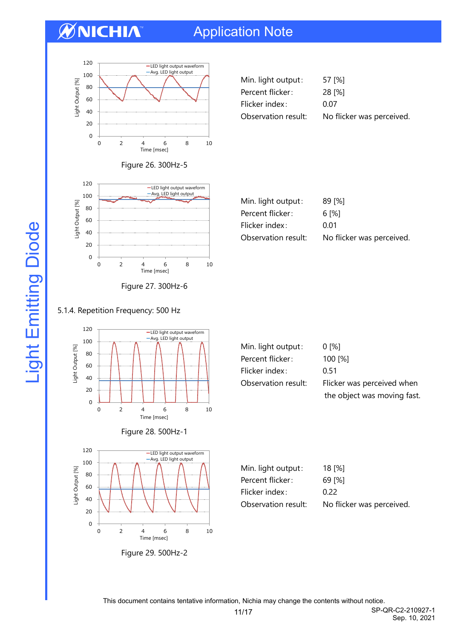## Application Note



| Min. light output:  | 57 [%]                    |
|---------------------|---------------------------|
| Percent flicker:    | 28 [%]                    |
| Flicker index:      | 0.07                      |
| Observation result: | No flicker was perceived. |



Figure 26. 300Hz-5

| $89$ [%]                  |
|---------------------------|
| 6 I%1                     |
| 0.01                      |
| No flicker was perceived. |
|                           |

#### 5.1.4. Repetition Frequency: 500 Hz







| Min. light output:  | $0^{96}$                    |
|---------------------|-----------------------------|
| Percent flicker:    | 100 [%]                     |
| Flicker index:      | 0.51                        |
| Observation result: | Flicker was perceived when  |
|                     | the object was moving fast. |

| Min. light output:  | 18 [%]                    |
|---------------------|---------------------------|
| Percent flicker:    | 69 I%I                    |
| Flicker index:      | O 22                      |
| Observation result: | No flicker was perceived. |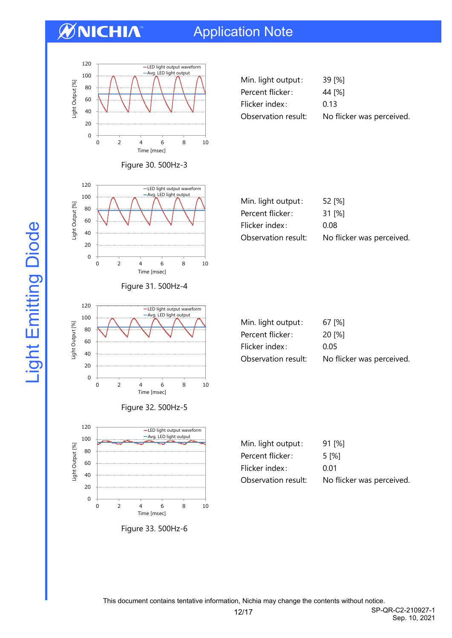Light Output [%]

Light Output [%]

## Application Note



Figure 30. 500Hz-3

| Min. light output:  | 39 [%]                    |
|---------------------|---------------------------|
| Percent flicker:    | 44 [%]                    |
| Flicker index:      | 0.13                      |
| Observation result: | No flicker was perceived. |



0 20 40 60 80 100 120 0 2 4 6 8 10 ight Output [%] [msec] Time [msec] -LED light output waveform<br>- Autube light subsub Light Output [%] -Avg. LED light output

Figure 31. 500Hz-4

0 2 4 6 8 10

[msec] Time [msec]

Figure 32. 500Hz-5



| Min. light output:  | 67 1%1                    |
|---------------------|---------------------------|
| Percent flicker:    | 20 I%1                    |
| Flicker index:      | 0.05                      |
| Observation result: | No flicker was perceived. |

| Min. light output:  | 91 [%]                    |
|---------------------|---------------------------|
| Percent flicker:    | 5 I%I                     |
| Flicker index:      | 0.01                      |
| Observation result: | No flicker was perceived. |

This document contains tentative information, Nichia may change the contents without notice.

12/17 SP-QR-C2-210927-1 Sep. 10, 2021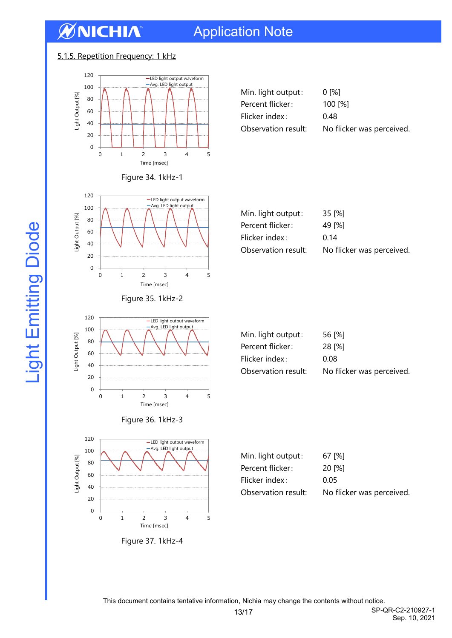## Application Note

#### 5.1.5. Repetition Frequency: 1 kHz



| Figure 34. 1kHz-1 |  |
|-------------------|--|
|-------------------|--|





Figure 35. 1kHz-2

| Min. light output:  | 35 [%]                    |
|---------------------|---------------------------|
| Percent flicker:    | 49 I%I                    |
| Flicker index:      | 0.14                      |
| Observation result: | No flicker was perceived. |



Figure 36. 1kHz-3



| Min. light output:  | 56 [%]                    |
|---------------------|---------------------------|
| Percent flicker:    | 28 [%]                    |
| Flicker index:      | 0.08                      |
| Observation result: | No flicker was perceived. |

| Min. light output:  | 67 [%]                    |
|---------------------|---------------------------|
| Percent flicker:    | 20 I%T                    |
| Flicker index:      | 0.05                      |
| Observation result: | No flicker was perceived. |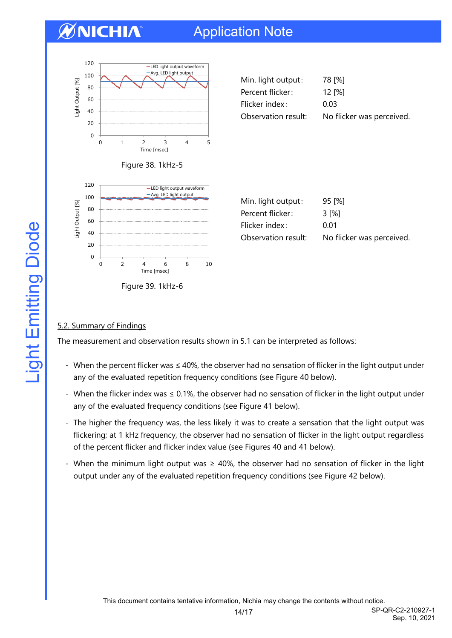## Application Note



| Min. light output:  | 78 [%]                    |
|---------------------|---------------------------|
| Percent flicker:    | 12 [%]                    |
| Flicker index:      | 0.03                      |
| Observation result: | No flicker was perceived. |



|  | Figure 39. 1kHz-6 |  |
|--|-------------------|--|

| Min. light output:  | 95 [%]                    |
|---------------------|---------------------------|
| Percent flicker:    | 3 I%I                     |
| Flicker index:      | 0 Q 1                     |
| Observation result: | No flicker was perceived. |

#### 5.2. Summary of Findings

The measurement and observation results shown in 5.1 can be interpreted as follows:

- When the percent flicker was ≤ 40%, the observer had no sensation of flicker in the light output under any of the evaluated repetition frequency conditions (see Figure 40 below).
- When the flicker index was ≤ 0.1%, the observer had no sensation of flicker in the light output under any of the evaluated frequency conditions (see Figure 41 below).
- The higher the frequency was, the less likely it was to create a sensation that the light output was flickering; at 1 kHz frequency, the observer had no sensation of flicker in the light output regardless of the percent flicker and flicker index value (see Figures 40 and 41 below).
- When the minimum light output was ≥ 40%, the observer had no sensation of flicker in the light output under any of the evaluated repetition frequency conditions (see Figure 42 below).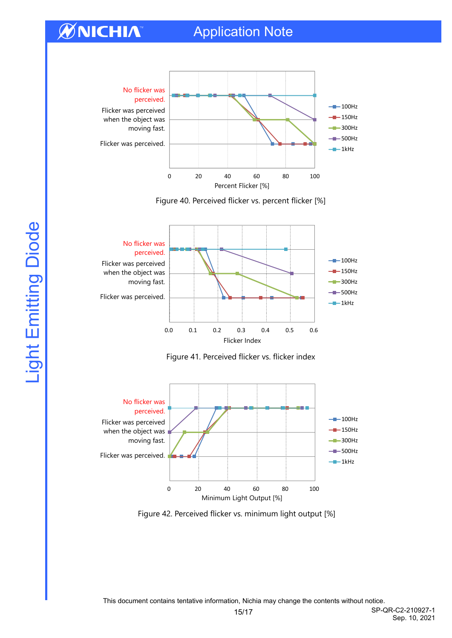## Application Note

## **ØNICHIA**



Figure 40. Perceived flicker vs. percent flicker [%]







Figure 42. Perceived flicker vs. minimum light output [%]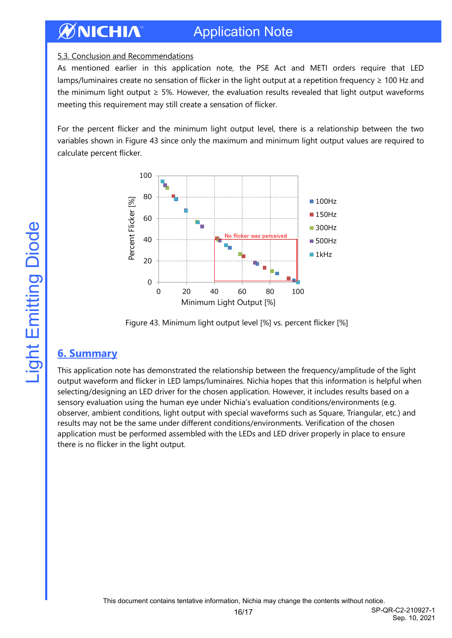#### **ØNICHIA** Application Note

#### 5.3. Conclusion and Recommendations

As mentioned earlier in this application note, the PSE Act and METI orders require that LED lamps/luminaires create no sensation of flicker in the light output at a repetition frequency ≥ 100 Hz and the minimum light output  $\geq$  5%. However, the evaluation results revealed that light output waveforms meeting this requirement may still create a sensation of flicker.

For the percent flicker and the minimum light output level, there is a relationship between the two variables shown in Figure 43 since only the maximum and minimum light output values are required to calculate percent flicker.





#### <span id="page-15-0"></span>**6. Summary**

This application note has demonstrated the relationship between the frequency/amplitude of the light output waveform and flicker in LED lamps/luminaires. Nichia hopes that this information is helpful when selecting/designing an LED driver for the chosen application. However, it includes results based on a sensory evaluation using the human eye under Nichia's evaluation conditions/environments (e.g. observer, ambient conditions, light output with special waveforms such as Square, Triangular, etc.) and results may not be the same under different conditions/environments. Verification of the chosen application must be performed assembled with the LEDs and LED driver properly in place to ensure there is no flicker in the light output.